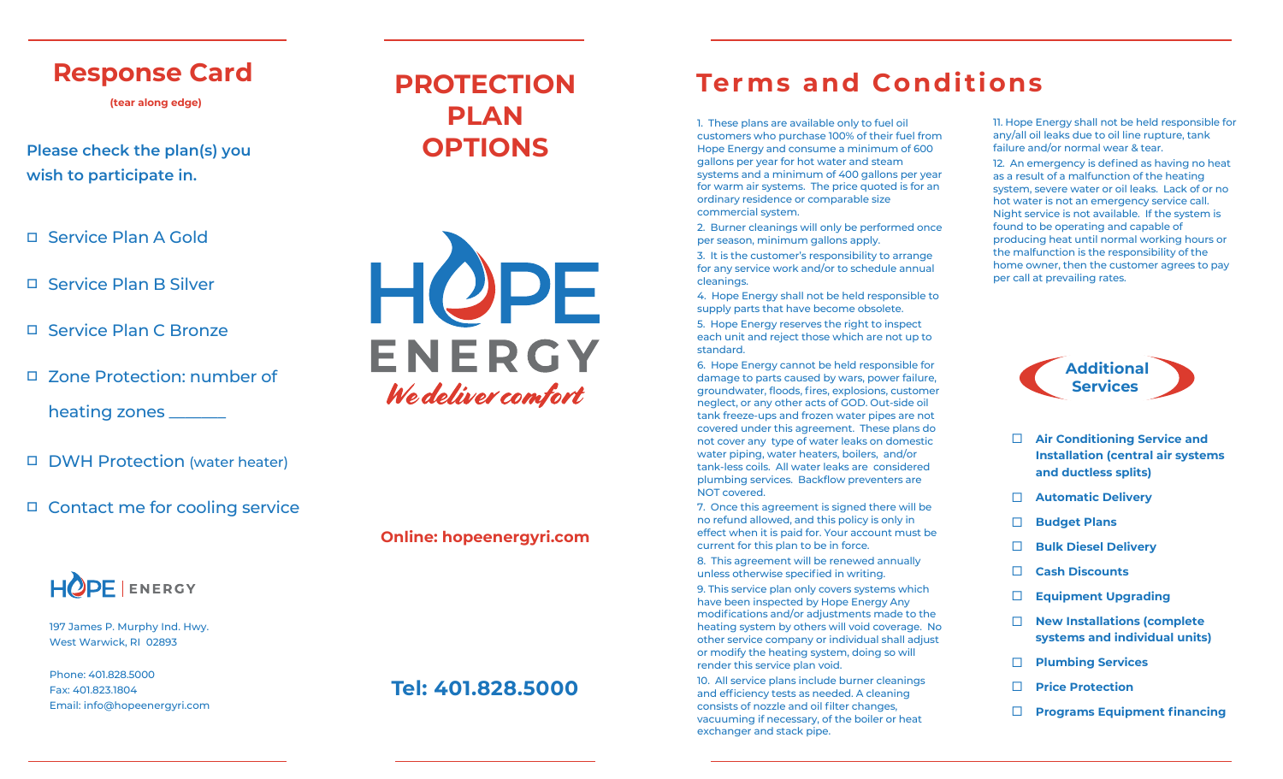## **Response Card**

**(tear along edge)**

**Please** check the plan(s) you **OPTIONS wish to participate in.** 

- Service Plan A Gold
- □ Service Plan B Silver
- □ Service Plan C Bronze
- □ Zone Protection: number of

heating zones \_\_\_\_\_\_\_

- □ DWH Protection (water heater)
- □ Contact me for cooling service



197 James P. Murphy Ind. Hwy. West Warwick, RI 02893

Phone: 401.828.5000 Fax: 401.823.1804 Email: info@hopeenergyri.com

# **PROTECTION PLAN**



**Online: hopeenergyri.com**

### **Tel: 401.828.5000**

## **Terms** and **Conditions**

1. These plans are available only to fuel oil customers who purchase 100% of their fuel from Hope Energy and consume a minimum of 600 gallons per year for hot water and steam systems and a minimum of 400 gallons per year for warm air systems. The price quoted is for an ordinary residence or comparable size commercial system.

2. Burner cleanings will only be performed once per season, minimum gallons apply.

3. It is the customer's responsibility to arrange for any service work and/or to schedule annual cleanings.

4. Hope Energy shall not be held responsible to supply parts that have become obsolete.

5. Hope Energy reserves the right to inspect each unit and reject those which are not up to standard.

6. Hope Energy cannot be held responsible for damage to parts caused by wars, power failure, groundwater, floods, fires, explosions, customer neglect, or any other acts of GOD. Out-side oil tank freeze-ups and frozen water pipes are not covered under this agreement. These plans do not cover any type of water leaks on domestic water piping, water heaters, boilers, and/or tank-less coils. All water leaks are considered plumbing services. Backflow preventers are NOT covered.

7. Once this agreement is signed there will be no refund allowed, and this policy is only in effect when it is paid for. Your account must be current for this plan to be in force.

8. This agreement will be renewed annually unless otherwise specified in writing.

9. This service plan only covers systems which have been inspected by Hope Energy Any modifications and/or adjustments made to the heating system by others will void coverage. No other service company or individual shall adjust or modify the heating system, doing so will render this service plan void.

10. All service plans include burner cleanings and efficiency tests as needed. A cleaning consists of nozzle and oil filter changes, vacuuming if necessary, of the boiler or heat exchanger and stack pipe.

11. Hope Energy shall not be held responsible for any/all oil leaks due to oil line rupture, tank failure and/or normal wear & tear.

12. An emergency is defined as having no heat as a result of a malfunction of the heating system, severe water or oil leaks. Lack of or no hot water is not an emergency service call. Night service is not available. If the system is found to be operating and capable of producing heat until normal working hours or the malfunction is the responsibility of the home owner, then the customer agrees to pay per call at prevailing rates.



- $\Box$ **Air Conditioning Service and Installation (central air systems and ductless splits)**
- **Automatic Delivery**
- $\Box$ **Budget Plans**
- $\Box$ **Bulk Diesel Delivery**
- $\Box$ **Cash Discounts**
- $\Box$ **Equipment Upgrading**
- $\Box$ **New Installations (complete systems and individual units)**
- $\Box$ **Plumbing Services**
- $\Box$ **Price Protection**
- $\Box$ **Programs Equipment financing**